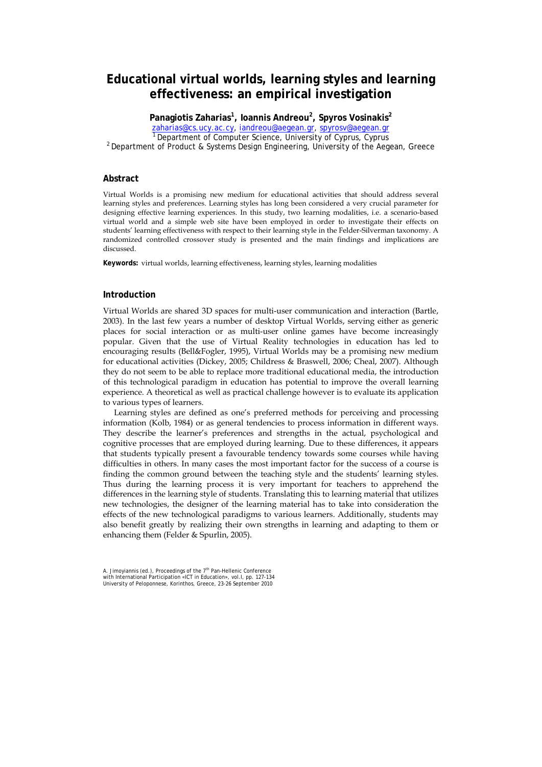# **Educational virtual worlds, learning styles and learning effectiveness: an empirical investigation**

**Panagiotis Zaharias<sup>1</sup> , Ioannis Andreou<sup>2</sup> , Spyros Vosinakis<sup>2</sup>** zaharias@cs.ucy.ac.cy, iandreou@aegean.gr, spyrosv@aegean.gr<br>
<sup>1</sup> Department of Computer Science, University of Cyprus, Cyprus<br>
<sup>2</sup> Department of Product & Systems Design Engineering, University of the Aegean, Greece

# **Abstract**

Virtual Worlds is a promising new medium for educational activities that should address several learning styles and preferences. Learning styles has long been considered a very crucial parameter for designing effective learning experiences. In this study, two learning modalities, i.e. a scenario-based virtual world and a simple web site have been employed in order to investigate their effects on students' learning effectiveness with respect to their learning style in the Felder-Silverman taxonomy. A randomized controlled crossover study is presented and the main findings and implications are discussed.

**Keywords:** virtual worlds, learning effectiveness, learning styles, learning modalities

# **Introduction**

Virtual Worlds are shared 3D spaces for multi-user communication and interaction (Bartle, 2003). In the last few years a number of desktop Virtual Worlds, serving either as generic places for social interaction or as multi-user online games have become increasingly popular. Given that the use of Virtual Reality technologies in education has led to encouraging results (Bell&Fogler, 1995), Virtual Worlds may be a promising new medium for educational activities (Dickey, 2005; Childress & Braswell, 2006; Cheal, 2007). Although they do not seem to be able to replace more traditional educational media, the introduction of this technological paradigm in education has potential to improve the overall learning experience. A theoretical as well as practical challenge however is to evaluate its application to various types of learners.

Learning styles are defined as one's preferred methods for perceiving and processing information (Kolb, 1984) or as general tendencies to process information in different ways. They describe the learner's preferences and strengths in the actual, psychological and cognitive processes that are employed during learning. Due to these differences, it appears that students typically present a favourable tendency towards some courses while having difficulties in others. In many cases the most important factor for the success of a course is finding the common ground between the teaching style and the students' learning styles. Thus during the learning process it is very important for teachers to apprehend the differences in the learning style of students. Translating this to learning material that utilizes new technologies, the designer of the learning material has to take into consideration the effects of the new technological paradigms to various learners. Additionally, students may also benefit greatly by realizing their own strengths in learning and adapting to them or enhancing them (Felder & Spurlin, 2005).

A. Jimoyiannis (ed.), Proceedings of the 7<sup>th</sup> Pan-Hellenic Conference<br>with International Participation «ICT in Education», vol.I, pp. 127-134<br>University of Peloponnese, Korinthos, Greece, 23-26 September 2010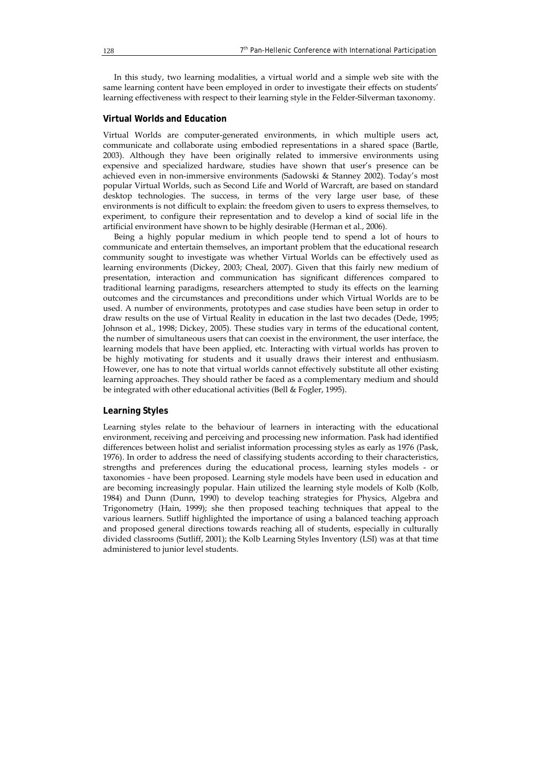In this study, two learning modalities, a virtual world and a simple web site with the same learning content have been employed in order to investigate their effects on students' learning effectiveness with respect to their learning style in the Felder-Silverman taxonomy.

#### **Virtual Worlds and Education**

Virtual Worlds are computer-generated environments, in which multiple users act, communicate and collaborate using embodied representations in a shared space (Bartle, 2003). Although they have been originally related to immersive environments using expensive and specialized hardware, studies have shown that user's presence can be achieved even in non-immersive environments (Sadowski & Stanney 2002). Today's most popular Virtual Worlds, such as Second Life and World of Warcraft, are based on standard desktop technologies. The success, in terms of the very large user base, of these environments is not difficult to explain: the freedom given to users to express themselves, to experiment, to configure their representation and to develop a kind of social life in the artificial environment have shown to be highly desirable (Herman et al., 2006).

Being a highly popular medium in which people tend to spend a lot of hours to communicate and entertain themselves, an important problem that the educational research community sought to investigate was whether Virtual Worlds can be effectively used as learning environments (Dickey, 2003; Cheal, 2007). Given that this fairly new medium of presentation, interaction and communication has significant differences compared to traditional learning paradigms, researchers attempted to study its effects on the learning outcomes and the circumstances and preconditions under which Virtual Worlds are to be used. A number of environments, prototypes and case studies have been setup in order to draw results on the use of Virtual Reality in education in the last two decades (Dede, 1995; Johnson et al., 1998; Dickey, 2005). These studies vary in terms of the educational content, the number of simultaneous users that can coexist in the environment, the user interface, the learning models that have been applied, etc. Interacting with virtual worlds has proven to be highly motivating for students and it usually draws their interest and enthusiasm. However, one has to note that virtual worlds cannot effectively substitute all other existing learning approaches. They should rather be faced as a complementary medium and should be integrated with other educational activities (Bell & Fogler, 1995).

#### **Learning Styles**

Learning styles relate to the behaviour of learners in interacting with the educational environment, receiving and perceiving and processing new information. Pask had identified differences between holist and serialist information processing styles as early as 1976 (Pask, 1976). In order to address the need of classifying students according to their characteristics, strengths and preferences during the educational process, learning styles models - or taxonomies - have been proposed. Learning style models have been used in education and are becoming increasingly popular. Hain utilized the learning style models of Kolb (Kolb, 1984) and Dunn (Dunn, 1990) to develop teaching strategies for Physics, Algebra and Trigonometry (Hain, 1999); she then proposed teaching techniques that appeal to the various learners. Sutliff highlighted the importance of using a balanced teaching approach and proposed general directions towards reaching all of students, especially in culturally divided classrooms (Sutliff, 2001); the Kolb Learning Styles Inventory (LSI) was at that time administered to junior level students.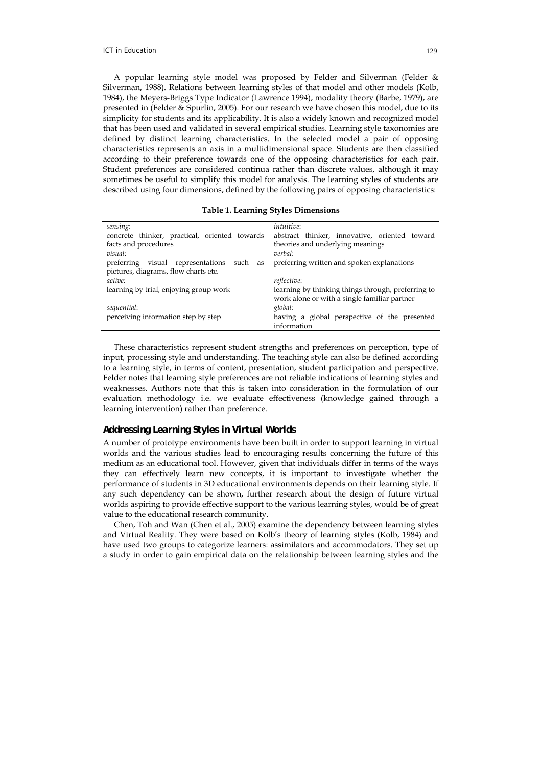A popular learning style model was proposed by Felder and Silverman (Felder & Silverman, 1988). Relations between learning styles of that model and other models (Kolb, 1984), the Meyers-Briggs Type Indicator (Lawrence 1994), modality theory (Barbe, 1979), are presented in (Felder & Spurlin, 2005). For our research we have chosen this model, due to its simplicity for students and its applicability. It is also a widely known and recognized model that has been used and validated in several empirical studies. Learning style taxonomies are defined by distinct learning characteristics. In the selected model a pair of opposing characteristics represents an axis in a multidimensional space. Students are then classified according to their preference towards one of the opposing characteristics for each pair. Student preferences are considered continua rather than discrete values, although it may sometimes be useful to simplify this model for analysis. The learning styles of students are described using four dimensions, defined by the following pairs of opposing characteristics:

|  |  |  | <b>Table 1. Learning Styles Dimensions</b> |
|--|--|--|--------------------------------------------|
|--|--|--|--------------------------------------------|

| sensing:                                      | <i>intuitive</i> :                                 |
|-----------------------------------------------|----------------------------------------------------|
| concrete thinker, practical, oriented towards | abstract thinker, innovative, oriented toward      |
| facts and procedures                          | theories and underlying meanings                   |
| <i>visual:</i>                                | verbal:                                            |
| preferring visual representations such as     | preferring written and spoken explanations         |
| pictures, diagrams, flow charts etc.          |                                                    |
| <i>active</i> :                               | <i>reflective</i> :                                |
| learning by trial, enjoying group work        | learning by thinking things through, preferring to |
|                                               | work alone or with a single familiar partner       |
| sequential:                                   | global:                                            |
| perceiving information step by step           | having a global perspective of the presented       |
|                                               | information                                        |

These characteristics represent student strengths and preferences on perception, type of input, processing style and understanding. The teaching style can also be defined according to a learning style, in terms of content, presentation, student participation and perspective. Felder notes that learning style preferences are not reliable indications of learning styles and weaknesses. Authors note that this is taken into consideration in the formulation of our evaluation methodology i.e. we evaluate effectiveness (knowledge gained through a learning intervention) rather than preference.

#### *Addressing Learning Styles in Virtual Worlds*

A number of prototype environments have been built in order to support learning in virtual worlds and the various studies lead to encouraging results concerning the future of this medium as an educational tool. However, given that individuals differ in terms of the ways they can effectively learn new concepts, it is important to investigate whether the performance of students in 3D educational environments depends on their learning style. If any such dependency can be shown, further research about the design of future virtual worlds aspiring to provide effective support to the various learning styles, would be of great value to the educational research community.

Chen, Toh and Wan (Chen et al., 2005) examine the dependency between learning styles and Virtual Reality. They were based on Kolb's theory of learning styles (Kolb, 1984) and have used two groups to categorize learners: assimilators and accommodators. They set up a study in order to gain empirical data on the relationship between learning styles and the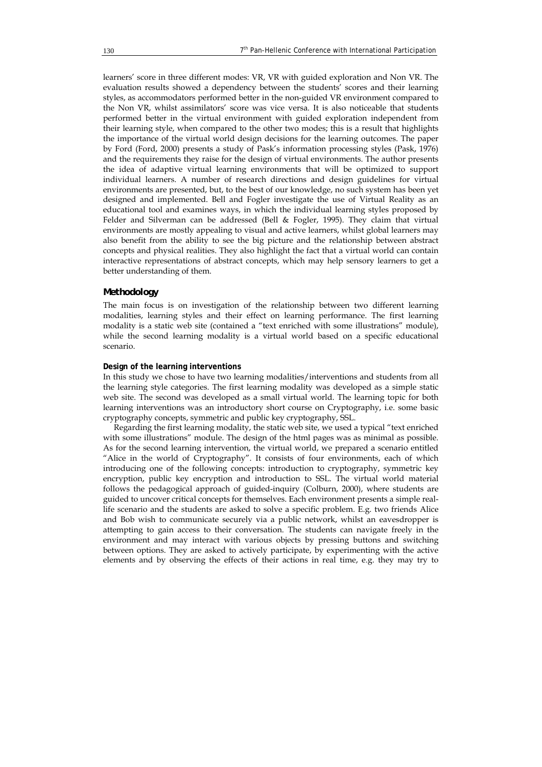learners' score in three different modes: VR, VR with guided exploration and Non VR. The evaluation results showed a dependency between the students' scores and their learning styles, as accommodators performed better in the non-guided VR environment compared to the Non VR, whilst assimilators' score was vice versa. It is also noticeable that students performed better in the virtual environment with guided exploration independent from their learning style, when compared to the other two modes; this is a result that highlights the importance of the virtual world design decisions for the learning outcomes. The paper by Ford (Ford, 2000) presents a study of Pask's information processing styles (Pask, 1976) and the requirements they raise for the design of virtual environments. The author presents the idea of adaptive virtual learning environments that will be optimized to support individual learners. A number of research directions and design guidelines for virtual environments are presented, but, to the best of our knowledge, no such system has been yet designed and implemented. Bell and Fogler investigate the use of Virtual Reality as an educational tool and examines ways, in which the individual learning styles proposed by Felder and Silverman can be addressed (Bell & Fogler, 1995). They claim that virtual environments are mostly appealing to visual and active learners, whilst global learners may also benefit from the ability to see the big picture and the relationship between abstract concepts and physical realities. They also highlight the fact that a virtual world can contain interactive representations of abstract concepts, which may help sensory learners to get a better understanding of them.

#### *Methodology*

The main focus is on investigation of the relationship between two different learning modalities, learning styles and their effect on learning performance. The first learning modality is a static web site (contained a "text enriched with some illustrations" module), while the second learning modality is a virtual world based on a specific educational scenario.

#### **Design of the learning interventions**

In this study we chose to have two learning modalities/interventions and students from all the learning style categories. The first learning modality was developed as a simple static web site. The second was developed as a small virtual world. The learning topic for both learning interventions was an introductory short course on Cryptography, i.e. some basic cryptography concepts, symmetric and public key cryptography, SSL.

Regarding the first learning modality, the static web site, we used a typical "text enriched with some illustrations" module. The design of the html pages was as minimal as possible. As for the second learning intervention, the virtual world, we prepared a scenario entitled "Alice in the world of Cryptography". It consists of four environments, each of which introducing one of the following concepts: introduction to cryptography, symmetric key encryption, public key encryption and introduction to SSL. The virtual world material follows the pedagogical approach of guided-inquiry (Colburn, 2000), where students are guided to uncover critical concepts for themselves. Each environment presents a simple reallife scenario and the students are asked to solve a specific problem. E.g. two friends Alice and Bob wish to communicate securely via a public network, whilst an eavesdropper is attempting to gain access to their conversation. The students can navigate freely in the environment and may interact with various objects by pressing buttons and switching between options. They are asked to actively participate, by experimenting with the active elements and by observing the effects of their actions in real time, e.g. they may try to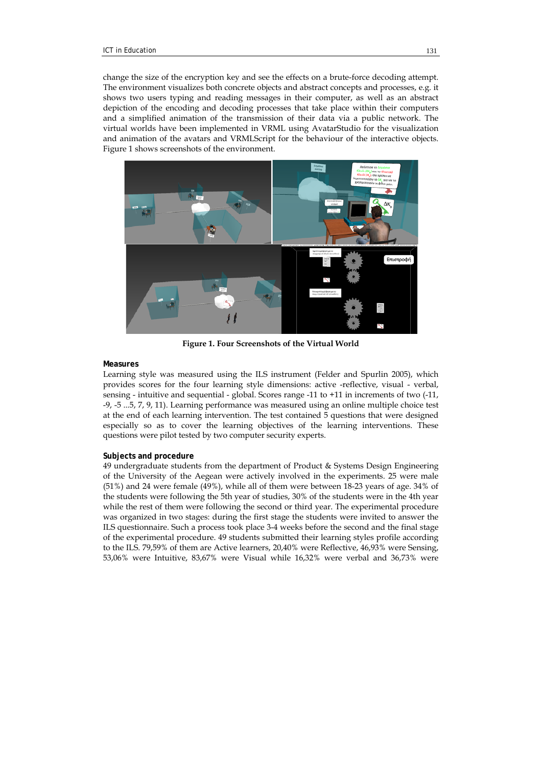change the size of the encryption key and see the effects on a brute-force decoding attempt. The environment visualizes both concrete objects and abstract concepts and processes, e.g. it shows two users typing and reading messages in their computer, as well as an abstract depiction of the encoding and decoding processes that take place within their computers and a simplified animation of the transmission of their data via a public network. The virtual worlds have been implemented in VRML using AvatarStudio for the visualization and animation of the avatars and VRMLScript for the behaviour of the interactive objects. Figure 1 shows screenshots of the environment.



**Figure 1. Four Screenshots of the Virtual World** 

#### **Measures**

Learning style was measured using the ILS instrument (Felder and Spurlin 2005), which provides scores for the four learning style dimensions: active -reflective, visual - verbal, sensing - intuitive and sequential - global. Scores range -11 to +11 in increments of two (-11, -9, -5 ...5, 7, 9, 11). Learning performance was measured using an online multiple choice test at the end of each learning intervention. The test contained 5 questions that were designed especially so as to cover the learning objectives of the learning interventions. These questions were pilot tested by two computer security experts.

#### **Subjects and procedure**

49 undergraduate students from the department of Product & Systems Design Engineering of the University of the Aegean were actively involved in the experiments. 25 were male (51%) and 24 were female (49%), while all of them were between 18-23 years of age. 34% of the students were following the 5th year of studies, 30% of the students were in the 4th year while the rest of them were following the second or third year. The experimental procedure was organized in two stages: during the first stage the students were invited to answer the ILS questionnaire. Such a process took place 3-4 weeks before the second and the final stage of the experimental procedure. 49 students submitted their learning styles profile according to the ILS. 79,59% of them are Active learners, 20,40% were Reflective, 46,93% were Sensing, 53,06% were Intuitive, 83,67% were Visual while 16,32% were verbal and 36,73% were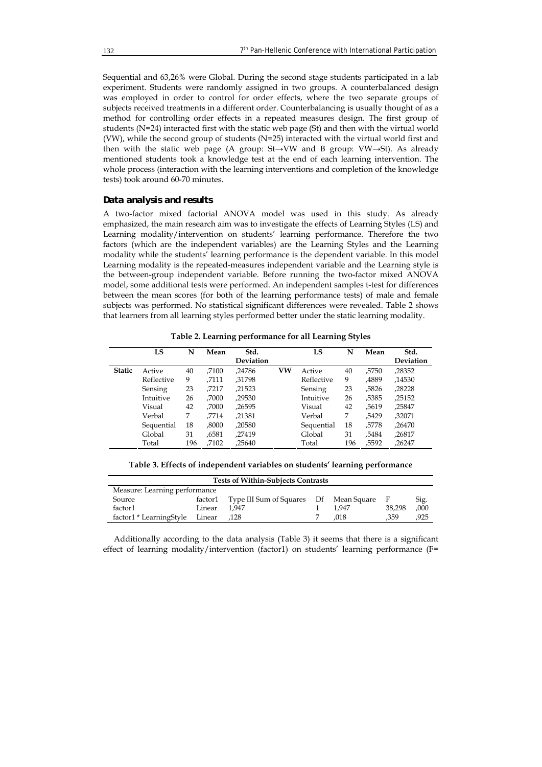Sequential and 63,26% were Global. During the second stage students participated in a lab experiment. Students were randomly assigned in two groups. A counterbalanced design was employed in order to control for order effects, where the two separate groups of subjects received treatments in a different order. Counterbalancing is usually thought of as a method for controlling order effects in a repeated measures design. The first group of students (N=24) interacted first with the static web page (St) and then with the virtual world (VW), while the second group of students (N=25) interacted with the virtual world first and then with the static web page (A group: St→VW and B group: VW→St). As already mentioned students took a knowledge test at the end of each learning intervention. The whole process (interaction with the learning interventions and completion of the knowledge tests) took around 60-70 minutes.

# *Data analysis and results*

A two-factor mixed factorial ANOVA model was used in this study. As already emphasized, the main research aim was to investigate the effects of Learning Styles (LS) and Learning modality/intervention on students' learning performance. Therefore the two factors (which are the independent variables) are the Learning Styles and the Learning modality while the students' learning performance is the dependent variable. In this model Learning modality is the repeated-measures independent variable and the Learning style is the between-group independent variable. Before running the two-factor mixed ANOVA model, some additional tests were performed. An independent samples t-test for differences between the mean scores (for both of the learning performance tests) of male and female subjects was performed. No statistical significant differences were revealed. Table 2 shows that learners from all learning styles performed better under the static learning modality.

|               | LS         | N   | Mean  | Std.<br>Deviation |    | LS         | N   | Mean  | Std.<br>Deviation |
|---------------|------------|-----|-------|-------------------|----|------------|-----|-------|-------------------|
| <b>Static</b> | Active     | 40  | .7100 | .24786            | VW | Active     | 40  | .5750 | ,28352            |
|               | Reflective | 9   | .7111 | .31798            |    | Reflective | 9   | .4889 | .14530            |
|               | Sensing    | 23  | .7217 | ,21523            |    | Sensing    | 23  | ,5826 | ,28228            |
|               | Intuitive  | 26  | .7000 | .29530            |    | Intuitive  | 26  | ,5385 | ,25152            |
|               | Visual     | 42  | .7000 | .26595            |    | Visual     | 42  | .5619 | ,25847            |
|               | Verbal     | 7   | .7714 | .21381            |    | Verbal     | 7   | .5429 | .32071            |
|               | Sequential | 18  | .8000 | .20580            |    | Sequential | 18  | .5778 | .26470            |
|               | Global     | 31  | ,6581 | .27419            |    | Global     | 31  | .5484 | ,26817            |
|               | Total      | 196 | ,7102 | .25640            |    | Total      | 196 | ,5592 | ,26247            |

**Table 2. Learning performance for all Learning Styles** 

|  | Table 3. Effects of independent variables on students' learning performance |
|--|-----------------------------------------------------------------------------|
|  |                                                                             |

| <b>Tests of Within-Subjects Contrasts</b> |        |                                                |  |       |        |      |  |
|-------------------------------------------|--------|------------------------------------------------|--|-------|--------|------|--|
| Measure: Learning performance             |        |                                                |  |       |        |      |  |
| Source                                    |        | factor1 Type III Sum of Squares Df Mean Square |  |       | - F    | Sig. |  |
| factor1                                   | Linear | 1.947                                          |  | 1.947 | 38.298 | ,000 |  |
| factor1 * LearningStyle                   | Linear | .128                                           |  | .018  | .359   | .925 |  |

Additionally according to the data analysis (Table 3) it seems that there is a significant effect of learning modality/intervention (factor1) on students' learning performance (F=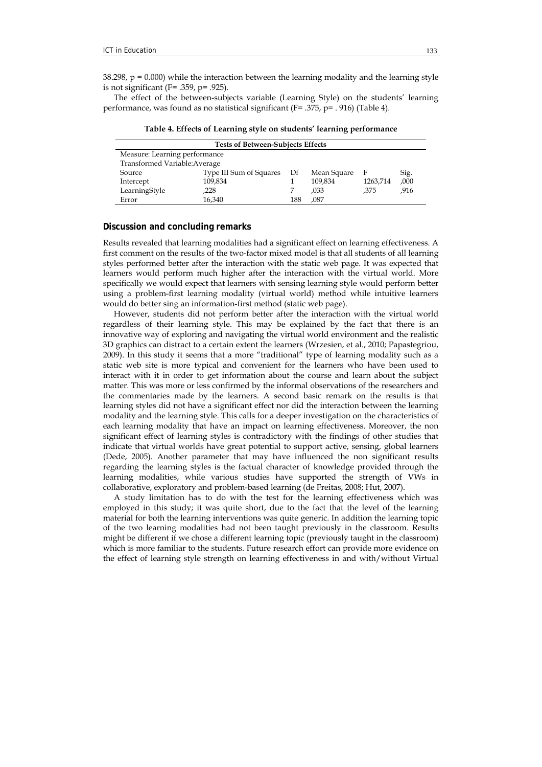$38.298$ ,  $p = 0.000$ ) while the interaction between the learning modality and the learning style is not significant ( $F = .359$ ,  $p = .925$ ).

The effect of the between-subjects variable (Learning Style) on the students' learning performance, was found as no statistical significant (F= .375, p= . 916) (Table 4).

**Table 4. Effects of Learning style on students' learning performance** 

| <b>Tests of Between-Subjects Effects</b> |                         |     |             |          |      |  |  |
|------------------------------------------|-------------------------|-----|-------------|----------|------|--|--|
| Measure: Learning performance            |                         |     |             |          |      |  |  |
| Transformed Variable: Average            |                         |     |             |          |      |  |  |
| Source                                   | Type III Sum of Squares | Df  | Mean Square | - F      | Sig. |  |  |
| Intercept                                | 109,834                 |     | 109,834     | 1263,714 | ,000 |  |  |
| LearningStyle                            | .228                    |     | .033        | .375     | .916 |  |  |
| Error                                    | 16,340                  | 188 | ,087        |          |      |  |  |

### **Discussion and concluding remarks**

Results revealed that learning modalities had a significant effect on learning effectiveness. A first comment on the results of the two-factor mixed model is that all students of all learning styles performed better after the interaction with the static web page. It was expected that learners would perform much higher after the interaction with the virtual world. More specifically we would expect that learners with sensing learning style would perform better using a problem-first learning modality (virtual world) method while intuitive learners would do better sing an information-first method (static web page).

However, students did not perform better after the interaction with the virtual world regardless of their learning style. This may be explained by the fact that there is an innovative way of exploring and navigating the virtual world environment and the realistic 3D graphics can distract to a certain extent the learners (Wrzesien, et al., 2010; Papastegriou, 2009). In this study it seems that a more "traditional" type of learning modality such as a static web site is more typical and convenient for the learners who have been used to interact with it in order to get information about the course and learn about the subject matter. This was more or less confirmed by the informal observations of the researchers and the commentaries made by the learners. A second basic remark on the results is that learning styles did not have a significant effect nor did the interaction between the learning modality and the learning style. This calls for a deeper investigation on the characteristics of each learning modality that have an impact on learning effectiveness. Moreover, the non significant effect of learning styles is contradictory with the findings of other studies that indicate that virtual worlds have great potential to support active, sensing, global learners (Dede, 2005). Another parameter that may have influenced the non significant results regarding the learning styles is the factual character of knowledge provided through the learning modalities, while various studies have supported the strength of VWs in collaborative, exploratory and problem-based learning (de Freitas, 2008; Hut, 2007).

A study limitation has to do with the test for the learning effectiveness which was employed in this study; it was quite short, due to the fact that the level of the learning material for both the learning interventions was quite generic. In addition the learning topic of the two learning modalities had not been taught previously in the classroom. Results might be different if we chose a different learning topic (previously taught in the classroom) which is more familiar to the students. Future research effort can provide more evidence on the effect of learning style strength on learning effectiveness in and with/without Virtual